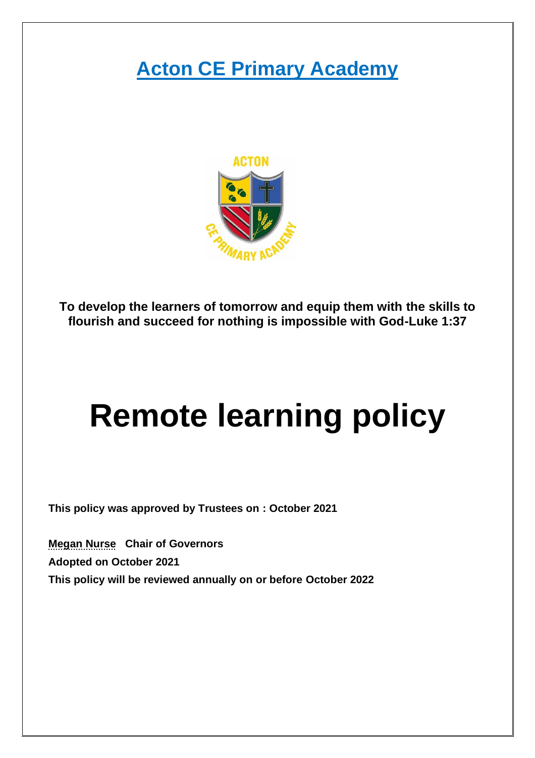## **Acton CE Primary Academy**



**To develop the learners of tomorrow and equip them with the skills to flourish and succeed for nothing is impossible with God-Luke 1:37**

# **Remote learning policy**

**This policy was approved by Trustees on : October 2021**

**Megan Nurse Chair of Governors Adopted on October 2021 This policy will be reviewed annually on or before October 2022**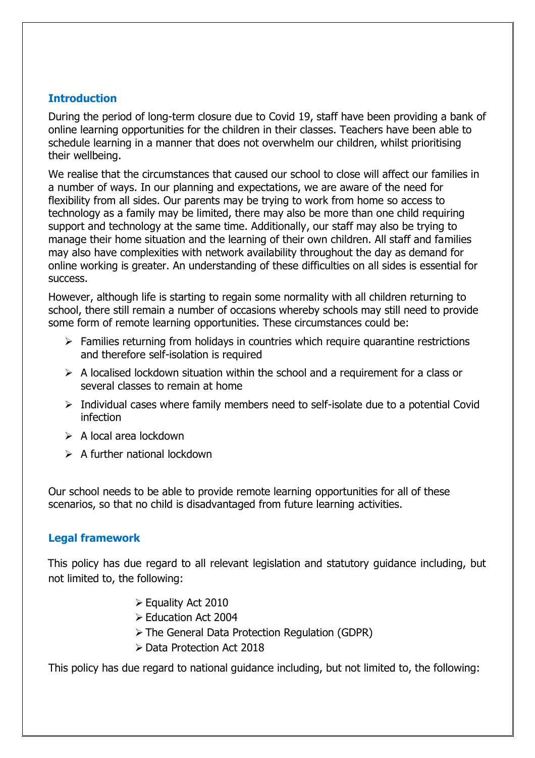#### **Introduction**

During the period of long-term closure due to Covid 19, staff have been providing a bank of online learning opportunities for the children in their classes. Teachers have been able to schedule learning in a manner that does not overwhelm our children, whilst prioritising their wellbeing.

We realise that the circumstances that caused our school to close will affect our families in a number of ways. In our planning and expectations, we are aware of the need for flexibility from all sides. Our parents may be trying to work from home so access to technology as a family may be limited, there may also be more than one child requiring support and technology at the same time. Additionally, our staff may also be trying to manage their home situation and the learning of their own children. All staff and families may also have complexities with network availability throughout the day as demand for online working is greater. An understanding of these difficulties on all sides is essential for success.

However, although life is starting to regain some normality with all children returning to school, there still remain a number of occasions whereby schools may still need to provide some form of remote learning opportunities. These circumstances could be:

- ➢ Families returning from holidays in countries which require quarantine restrictions and therefore self-isolation is required
- $\triangleright$  A localised lockdown situation within the school and a requirement for a class or several classes to remain at home
- ➢ Individual cases where family members need to self-isolate due to a potential Covid infection
- $\triangleright$  A local area lockdown
- $\triangleright$  A further national lockdown

Our school needs to be able to provide remote learning opportunities for all of these scenarios, so that no child is disadvantaged from future learning activities.

#### **Legal framework**

 This policy has due regard to all relevant legislation and statutory guidance including, but not limited to, the following:

- ➢ Equality Act 2010
- ➢ Education Act 2004
- ➢ The General Data Protection Regulation (GDPR)
- ➢ Data Protection Act 2018

This policy has due regard to national guidance including, but not limited to, the following: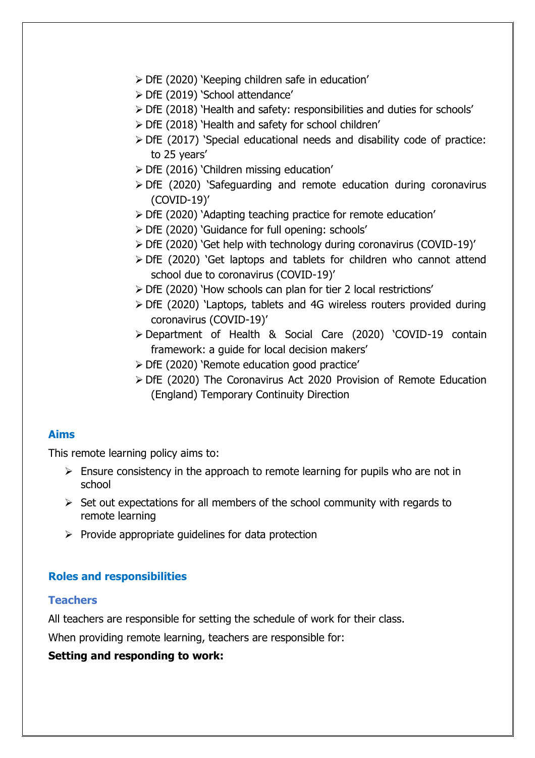- ➢ DfE (2020) 'Keeping children safe in education'
- ➢ DfE (2019) 'School attendance'
- ➢ DfE (2018) 'Health and safety: responsibilities and duties for schools'
- ➢ DfE (2018) 'Health and safety for school children'
- ➢ DfE (2017) 'Special educational needs and disability code of practice: to 25 years'
- ➢ DfE (2016) 'Children missing education'
- ➢ DfE (2020) 'Safeguarding and remote education during coronavirus (COVID-19)'
- ➢ DfE (2020) 'Adapting teaching practice for remote education'
- ➢ DfE (2020) 'Guidance for full opening: schools'
- ➢ DfE (2020) 'Get help with technology during coronavirus (COVID-19)'
- ➢ DfE (2020) 'Get laptops and tablets for children who cannot attend school due to coronavirus (COVID-19)'
- ➢ DfE (2020) 'How schools can plan for tier 2 local restrictions'
- ➢ DfE (2020) 'Laptops, tablets and 4G wireless routers provided during coronavirus (COVID-19)'
- ➢ Department of Health & Social Care (2020) 'COVID-19 contain framework: a guide for local decision makers'
- ➢ DfE (2020) 'Remote education good practice'
- ➢ DfE (2020) The Coronavirus Act 2020 Provision of Remote Education (England) Temporary Continuity Direction

#### **Aims**

This remote learning policy aims to:

- $\triangleright$  Ensure consistency in the approach to remote learning for pupils who are not in school
- $\triangleright$  Set out expectations for all members of the school community with regards to remote learning
- $\triangleright$  Provide appropriate guidelines for data protection

#### **Roles and responsibilities**

#### **Teachers**

All teachers are responsible for setting the schedule of work for their class.

When providing remote learning, teachers are responsible for:

#### **Setting and responding to work:**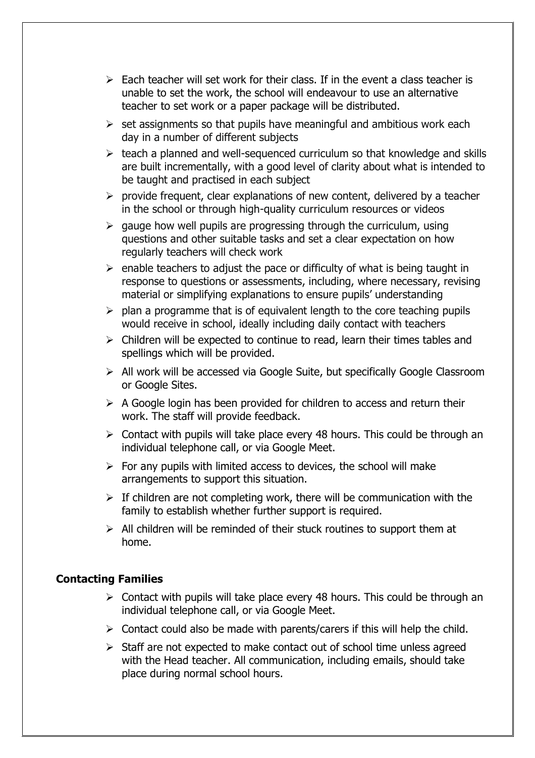- $\triangleright$  Each teacher will set work for their class. If in the event a class teacher is unable to set the work, the school will endeavour to use an alternative teacher to set work or a paper package will be distributed.
- $\triangleright$  set assignments so that pupils have meaningful and ambitious work each day in a number of different subjects
- ➢ teach a planned and well-sequenced curriculum so that knowledge and skills are built incrementally, with a good level of clarity about what is intended to be taught and practised in each subject
- $\triangleright$  provide frequent, clear explanations of new content, delivered by a teacher in the school or through high-quality curriculum resources or videos
- $\geq$  gauge how well pupils are progressing through the curriculum, using questions and other suitable tasks and set a clear expectation on how regularly teachers will check work
- $\triangleright$  enable teachers to adjust the pace or difficulty of what is being taught in response to questions or assessments, including, where necessary, revising material or simplifying explanations to ensure pupils' understanding
- $\triangleright$  plan a programme that is of equivalent length to the core teaching pupils would receive in school, ideally including daily contact with teachers
- ➢ Children will be expected to continue to read, learn their times tables and spellings which will be provided.
- ➢ All work will be accessed via Google Suite, but specifically Google Classroom or Google Sites.
- $\triangleright$  A Google login has been provided for children to access and return their work. The staff will provide feedback.
- $\triangleright$  Contact with pupils will take place every 48 hours. This could be through an individual telephone call, or via Google Meet.
- $\triangleright$  For any pupils with limited access to devices, the school will make arrangements to support this situation.
- $\triangleright$  If children are not completing work, there will be communication with the family to establish whether further support is required.
- $\triangleright$  All children will be reminded of their stuck routines to support them at home.

#### **Contacting Families**

- ➢ Contact with pupils will take place every 48 hours. This could be through an individual telephone call, or via Google Meet.
- $\triangleright$  Contact could also be made with parents/carers if this will help the child.
- ➢ Staff are not expected to make contact out of school time unless agreed with the Head teacher. All communication, including emails, should take place during normal school hours.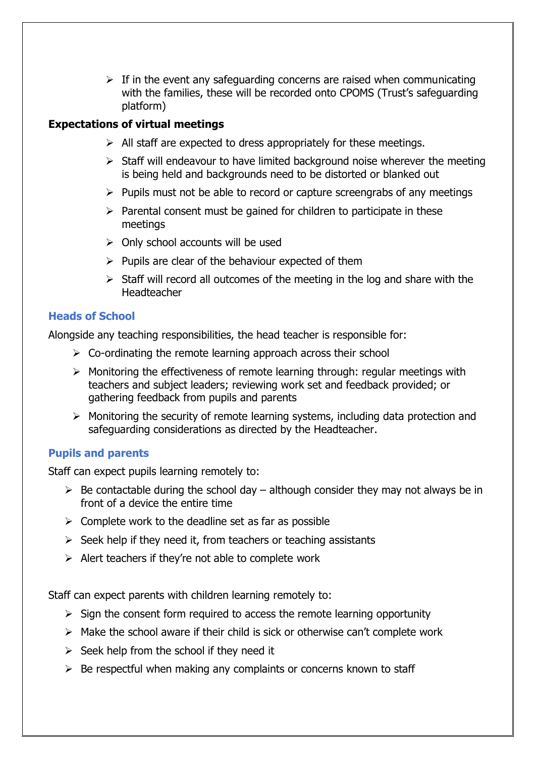$\triangleright$  If in the event any safeguarding concerns are raised when communicating with the families, these will be recorded onto CPOMS (Trust's safeguarding platform)

#### **Expectations of virtual meetings**

- $\triangleright$  All staff are expected to dress appropriately for these meetings.
- $\triangleright$  Staff will endeavour to have limited background noise wherever the meeting is being held and backgrounds need to be distorted or blanked out
- $\triangleright$  Pupils must not be able to record or capture screengrabs of any meetings
- $\triangleright$  Parental consent must be gained for children to participate in these meetings
- $\triangleright$  Only school accounts will be used
- $\triangleright$  Pupils are clear of the behaviour expected of them
- $\triangleright$  Staff will record all outcomes of the meeting in the log and share with the Headteacher

#### **Heads of School**

Alongside any teaching responsibilities, the head teacher is responsible for:

- $\triangleright$  Co-ordinating the remote learning approach across their school
- ➢ Monitoring the effectiveness of remote learning through: regular meetings with teachers and subject leaders; reviewing work set and feedback provided; or gathering feedback from pupils and parents
- ➢ Monitoring the security of remote learning systems, including data protection and safeguarding considerations as directed by the Headteacher.

#### **Pupils and parents**

Staff can expect pupils learning remotely to:

- $\triangleright$  Be contactable during the school day although consider they may not always be in front of a device the entire time
- $\triangleright$  Complete work to the deadline set as far as possible
- $\triangleright$  Seek help if they need it, from teachers or teaching assistants
- $\triangleright$  Alert teachers if they're not able to complete work

Staff can expect parents with children learning remotely to:

- $\triangleright$  Sign the consent form required to access the remote learning opportunity
- $\triangleright$  Make the school aware if their child is sick or otherwise can't complete work
- $\triangleright$  Seek help from the school if they need it
- $\triangleright$  Be respectful when making any complaints or concerns known to staff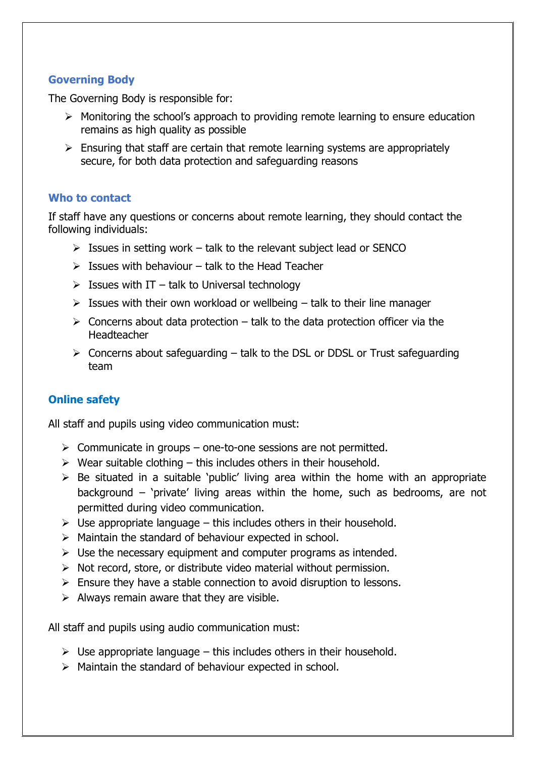#### **Governing Body**

The Governing Body is responsible for:

- $\triangleright$  Monitoring the school's approach to providing remote learning to ensure education remains as high quality as possible
- $\triangleright$  Ensuring that staff are certain that remote learning systems are appropriately secure, for both data protection and safeguarding reasons

#### **Who to contact**

If staff have any questions or concerns about remote learning, they should contact the following individuals:

- $\triangleright$  Issues in setting work talk to the relevant subject lead or SENCO
- $\triangleright$  Issues with behaviour talk to the Head Teacher
- $\triangleright$  Issues with IT talk to Universal technology
- $\triangleright$  Issues with their own workload or wellbeing talk to their line manager
- $\triangleright$  Concerns about data protection talk to the data protection officer via the Headteacher
- ➢ Concerns about safeguarding talk to the DSL or DDSL or Trust safeguarding team

#### **Online safety**

All staff and pupils using video communication must:

- $\triangleright$  Communicate in groups one-to-one sessions are not permitted.
- $\triangleright$  Wear suitable clothing this includes others in their household.
- $\triangleright$  Be situated in a suitable 'public' living area within the home with an appropriate background – 'private' living areas within the home, such as bedrooms, are not permitted during video communication.
- $\triangleright$  Use appropriate language this includes others in their household.
- $\triangleright$  Maintain the standard of behaviour expected in school.
- $\triangleright$  Use the necessary equipment and computer programs as intended.
- $\triangleright$  Not record, store, or distribute video material without permission.
- $\triangleright$  Ensure they have a stable connection to avoid disruption to lessons.
- $\triangleright$  Always remain aware that they are visible.

All staff and pupils using audio communication must:

- $\triangleright$  Use appropriate language this includes others in their household.
- ➢ Maintain the standard of behaviour expected in school.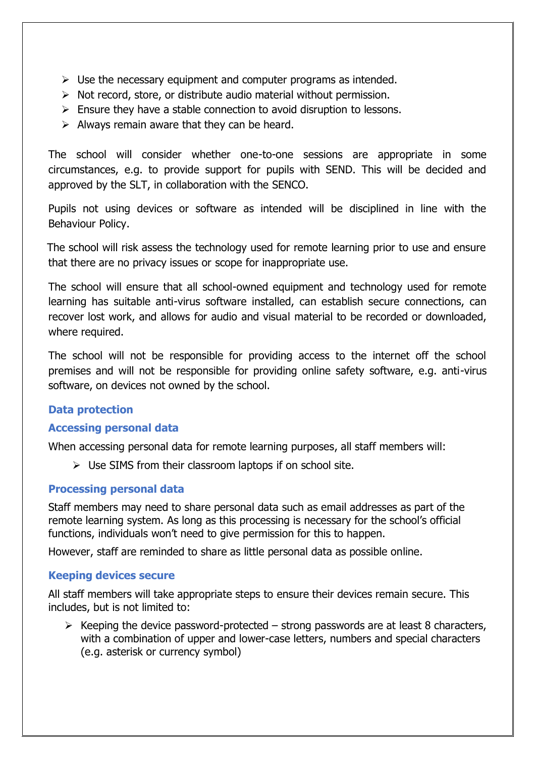- $\triangleright$  Use the necessary equipment and computer programs as intended.
- $\triangleright$  Not record, store, or distribute audio material without permission.
- $\triangleright$  Ensure they have a stable connection to avoid disruption to lessons.
- $\triangleright$  Always remain aware that they can be heard.

The school will consider whether one-to-one sessions are appropriate in some circumstances, e.g. to provide support for pupils with SEND. This will be decided and approved by the SLT, in collaboration with the SENCO.

Pupils not using devices or software as intended will be disciplined in line with the Behaviour Policy.

 The school will risk assess the technology used for remote learning prior to use and ensure that there are no privacy issues or scope for inappropriate use.

The school will ensure that all school-owned equipment and technology used for remote learning has suitable anti-virus software installed, can establish secure connections, can recover lost work, and allows for audio and visual material to be recorded or downloaded, where required.

The school will not be responsible for providing access to the internet off the school premises and will not be responsible for providing online safety software, e.g. anti-virus software, on devices not owned by the school.

#### **Data protection**

#### **Accessing personal data**

When accessing personal data for remote learning purposes, all staff members will:

 $\triangleright$  Use SIMS from their classroom laptops if on school site.

#### **Processing personal data**

Staff members may need to share personal data such as email addresses as part of the remote learning system. As long as this processing is necessary for the school's official functions, individuals won't need to give permission for this to happen.

However, staff are reminded to share as little personal data as possible online.

#### **Keeping devices secure**

All staff members will take appropriate steps to ensure their devices remain secure. This includes, but is not limited to:

 $\triangleright$  Keeping the device password-protected – strong passwords are at least 8 characters, with a combination of upper and lower-case letters, numbers and special characters (e.g. asterisk or currency symbol)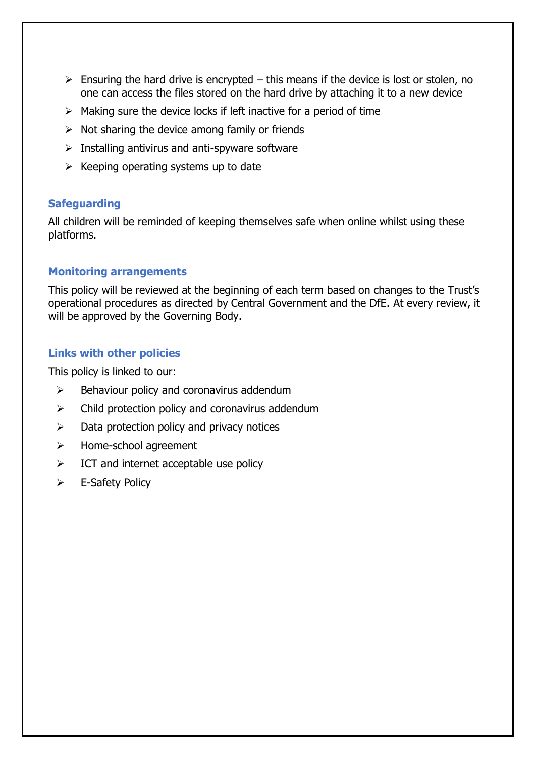- $\triangleright$  Ensuring the hard drive is encrypted this means if the device is lost or stolen, no one can access the files stored on the hard drive by attaching it to a new device
- $\triangleright$  Making sure the device locks if left inactive for a period of time
- $\triangleright$  Not sharing the device among family or friends
- $\triangleright$  Installing antivirus and anti-spyware software
- $\triangleright$  Keeping operating systems up to date

#### **Safeguarding**

All children will be reminded of keeping themselves safe when online whilst using these platforms.

#### **Monitoring arrangements**

This policy will be reviewed at the beginning of each term based on changes to the Trust's operational procedures as directed by Central Government and the DfE. At every review, it will be approved by the Governing Body.

#### **Links with other policies**

This policy is linked to our:

- $\triangleright$  Behaviour policy and coronavirus addendum
- $\triangleright$  Child protection policy and coronavirus addendum
- $\triangleright$  Data protection policy and privacy notices
- ➢ Home-school agreement
- $\triangleright$  ICT and internet acceptable use policy
- ➢ E-Safety Policy